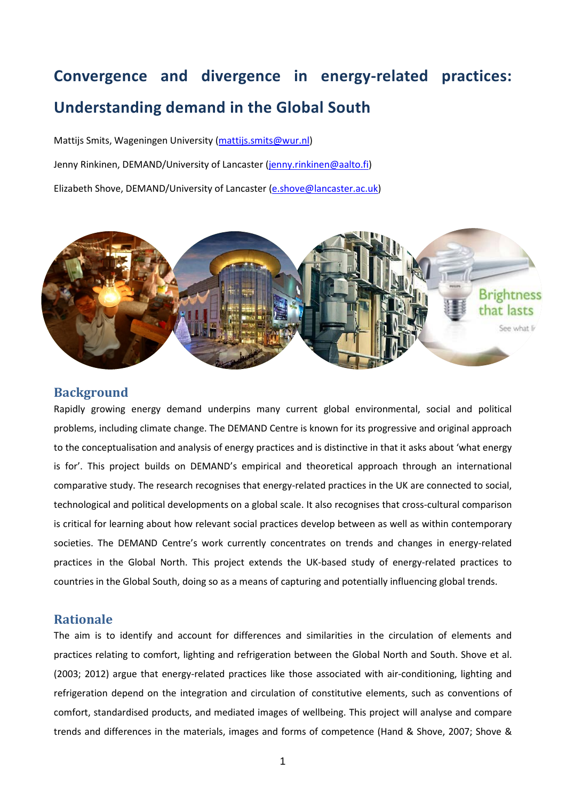# **Convergence and divergence in energy-related practices: Understanding demand in the Global South**

Mattijs Smits, Wageningen University [\(mattijs.smits@wur.nl\)](mailto:mattijs.smits@wur.nl)

Jenny Rinkinen, DEMAND/University of Lancaster [\(jenny.rinkinen@aalto.fi\)](mailto:jenny.rinkinen@aalto.fi)

Elizabeth Shove, DEMAND/University of Lancaster [\(e.shove@lancaster.ac.uk\)](mailto:e.shove@lancaster.ac.uk)



# **Background**

Rapidly growing energy demand underpins many current global environmental, social and political problems, including climate change. The DEMAND Centre is known for its progressive and original approach to the conceptualisation and analysis of energy practices and is distinctive in that it asks about 'what energy is for'. This project builds on DEMAND's empirical and theoretical approach through an international comparative study. The research recognises that energy-related practices in the UK are connected to social, technological and political developments on a global scale. It also recognises that cross-cultural comparison is critical for learning about how relevant social practices develop between as well as within contemporary societies. The DEMAND Centre's work currently concentrates on trends and changes in energy-related practices in the Global North. This project extends the UK-based study of energy-related practices to countries in the Global South, doing so as a means of capturing and potentially influencing global trends.

### **Rationale**

The aim is to identify and account for differences and similarities in the circulation of elements and practices relating to comfort, lighting and refrigeration between the Global North and South. Shove et al. [\(2003;](#page-4-0) [2012\)](#page-4-1) argue that energy-related practices like those associated with air-conditioning, lighting and refrigeration depend on the integration and circulation of constitutive elements, such as conventions of comfort, standardised products, and mediated images of wellbeing. This project will analyse and compare trends and differences in the materials, images and forms of competence [\(Hand & Shove, 2007;](#page-4-2) [Shove &](#page-4-3)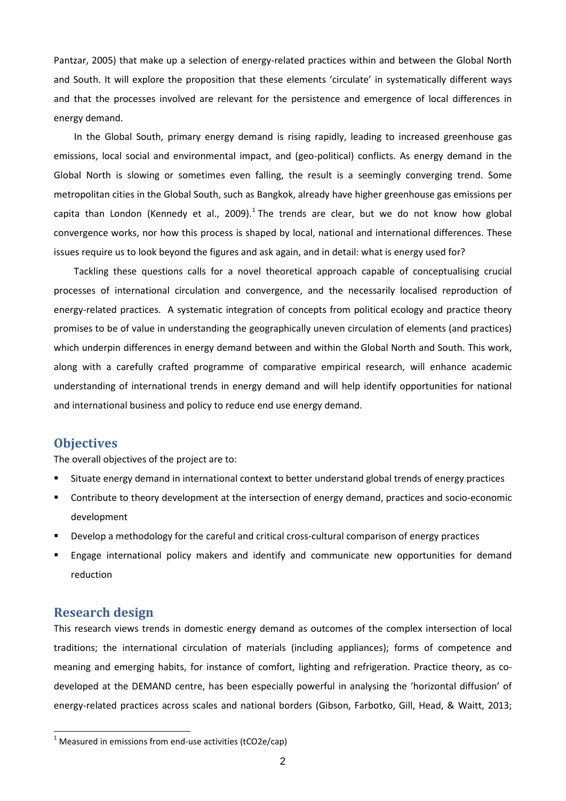[Pantzar, 2005\)](#page-4-3) that make up a selection of energy-related practices within and between the Global North and South. It will explore the proposition that these elements 'circulate' in systematically different ways and that the processes involved are relevant for the persistence and emergence of local differences in energy demand.

In the Global South, primary energy demand is rising rapidly, leading to increased greenhouse gas emissions, local social and environmental impact, and (geo-political) conflicts. As energy demand in the Global North is slowing or sometimes even falling, the result is a seemingly converging trend. Some metropolitan cities in the Global South, such as Bangkok, already have higher greenhouse gas emissions per capita than London [\(Kennedy et al., 2009\)](#page-4-4).<sup>[1](#page-1-0)</sup> The trends are clear, but we do not know how global convergence works, nor how this process is shaped by local, national and international differences. These issues require us to look beyond the figures and ask again, and in detail: what is energy used for?

Tackling these questions calls for a novel theoretical approach capable of conceptualising crucial processes of international circulation and convergence, and the necessarily localised reproduction of energy-related practices. A systematic integration of concepts from political ecology and practice theory promises to be of value in understanding the geographically uneven circulation of elements (and practices) which underpin differences in energy demand between and within the Global North and South. This work, along with a carefully crafted programme of comparative empirical research, will enhance academic understanding of international trends in energy demand and will help identify opportunities for national and international business and policy to reduce end use energy demand.

#### **Objectives**

The overall objectives of the project are to:

- Situate energy demand in international context to better understand global trends of energy practices
- **Contribute to theory development at the intersection of energy demand, practices and socio-economic** development
- Develop a methodology for the careful and critical cross-cultural comparison of energy practices
- Engage international policy makers and identify and communicate new opportunities for demand reduction

#### **Research design**

This research views trends in domestic energy demand as outcomes of the complex intersection of local traditions; the international circulation of materials (including appliances); forms of competence and meaning and emerging habits, for instance of comfort, lighting and refrigeration. Practice theory, as codeveloped at the DEMAND centre, has been especially powerful in analysing the 'horizontal diffusion' of energy-related practices across scales and national borders [\(Gibson, Farbotko, Gill, Head, & Waitt, 2013;](#page-4-5)

<span id="page-1-0"></span> $1$  Measured in emissions from end-use activities (tCO2e/cap)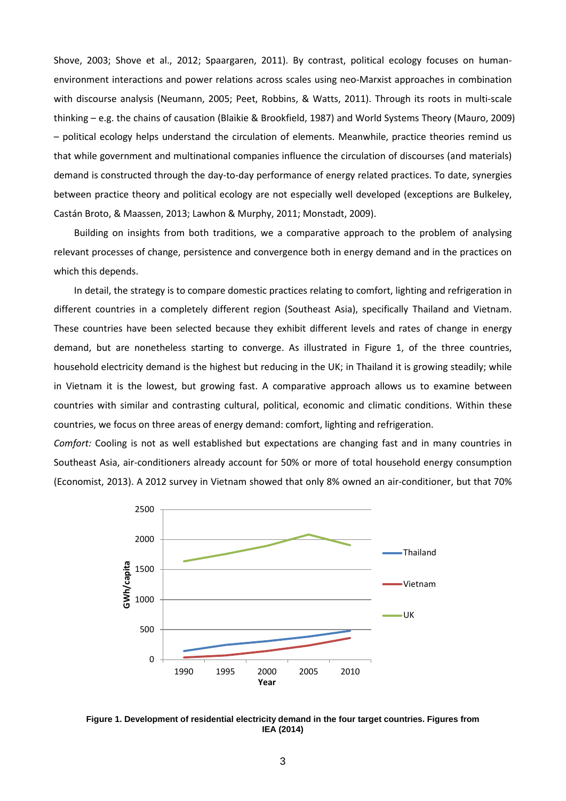[Shove, 2003;](#page-4-0) [Shove et al., 2012;](#page-4-1) [Spaargaren, 2011\)](#page-4-6). By contrast, political ecology focuses on humanenvironment interactions and power relations across scales using neo-Marxist approaches in combination with discourse analysis [\(Neumann, 2005;](#page-4-7) [Peet, Robbins, & Watts, 2011\)](#page-4-8). Through its roots in multi-scale thinking – e.g. the chains of causation [\(Blaikie & Brookfield, 1987\)](#page-4-9) and World Systems Theory [\(Mauro, 2009\)](#page-4-10) – political ecology helps understand the circulation of elements. Meanwhile, practice theories remind us that while government and multinational companies influence the circulation of discourses (and materials) demand is constructed through the day-to-day performance of energy related practices. To date, synergies between practice theory and political ecology are not especially well developed (exceptions are [Bulkeley,](#page-4-11)  [Castán Broto, & Maassen, 2013;](#page-4-11) [Lawhon & Murphy, 2011;](#page-4-12) [Monstadt, 2009\)](#page-4-13).

Building on insights from both traditions, we a comparative approach to the problem of analysing relevant processes of change, persistence and convergence both in energy demand and in the practices on which this depends.

In detail, the strategy is to compare domestic practices relating to comfort, lighting and refrigeration in different countries in a completely different region (Southeast Asia), specifically Thailand and Vietnam. These countries have been selected because they exhibit different levels and rates of change in energy demand, but are nonetheless starting to converge. As illustrated in Figure 1, of the three countries, household electricity demand is the highest but reducing in the UK; in Thailand it is growing steadily; while in Vietnam it is the lowest, but growing fast. A comparative approach allows us to examine between countries with similar and contrasting cultural, political, economic and climatic conditions. Within these countries, we focus on three areas of energy demand: comfort, lighting and refrigeration.

*Comfort:* Cooling is not as well established but expectations are changing fast and in many countries in Southeast Asia, air-conditioners already account for 50% or more of total household energy consumption [\(Economist, 2013\)](#page-4-14). A 2012 survey in Vietnam showed that only 8% owned an air-conditioner, but that 70%



**Figure 1. Development of residential electricity demand in the four target countries. Figures from [IEA \(2014\)](#page-4-15)**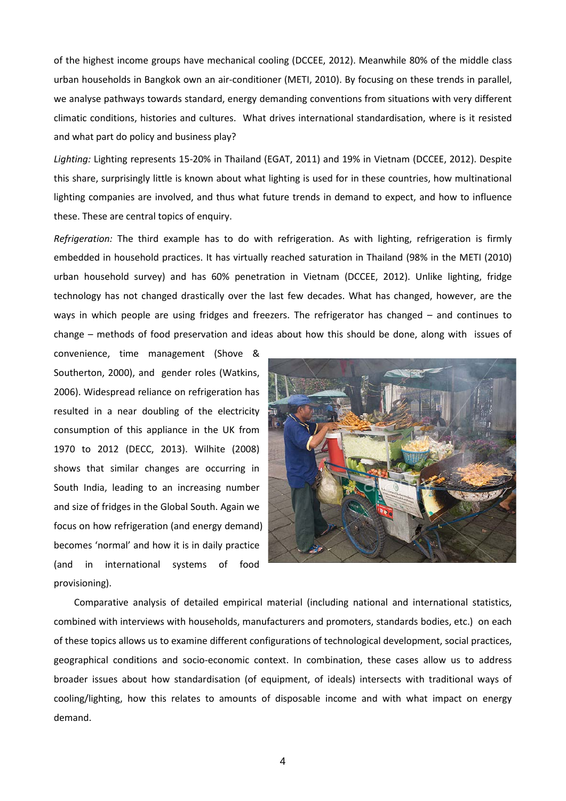of the highest income groups have mechanical cooling [\(DCCEE, 2012\)](#page-4-16). Meanwhile 80% of the middle class urban households in Bangkok own an air-conditioner [\(METI, 2010\)](#page-4-17). By focusing on these trends in parallel, we analyse pathways towards standard, energy demanding conventions from situations with very different climatic conditions, histories and cultures. What drives international standardisation, where is it resisted and what part do policy and business play?

*Lighting:* Lighting represents 15-20% in Thailand [\(EGAT, 2011\)](#page-4-18) and 19% in Vietnam [\(DCCEE, 2012\)](#page-4-16). Despite this share, surprisingly little is known about what lighting is used for in these countries, how multinational lighting companies are involved, and thus what future trends in demand to expect, and how to influence these. These are central topics of enquiry.

*Refrigeration:* The third example has to do with refrigeration. As with lighting, refrigeration is firmly embedded in household practices. It has virtually reached saturation in Thailand (98% in the [METI \(2010\)](#page-4-17) urban household survey) and has 60% penetration in Vietnam [\(DCCEE, 2012\)](#page-4-16). Unlike lighting, fridge technology has not changed drastically over the last few decades. What has changed, however, are the ways in which people are using fridges and freezers. The refrigerator has changed – and continues to change – methods of food preservation and ideas about how this should be done, along with issues of

convenience, time management [\(Shove &](#page-4-19)  [Southerton, 2000\)](#page-4-19), and gender roles [\(Watkins,](#page-4-20)  [2006\)](#page-4-20). Widespread reliance on refrigeration has resulted in a near doubling of the electricity consumption of this appliance in the UK from 1970 to 2012 [\(DECC, 2013\)](#page-4-21). [Wilhite \(2008\)](#page-4-22) shows that similar changes are occurring in South India, leading to an increasing number and size of fridges in the Global South. Again we focus on how refrigeration (and energy demand) becomes 'normal' and how it is in daily practice (and in international systems of food provisioning).



Comparative analysis of detailed empirical material (including national and international statistics, combined with interviews with households, manufacturers and promoters, standards bodies, etc.) on each of these topics allows us to examine different configurations of technological development, social practices, geographical conditions and socio-economic context. In combination, these cases allow us to address broader issues about how standardisation (of equipment, of ideals) intersects with traditional ways of cooling/lighting, how this relates to amounts of disposable income and with what impact on energy demand.